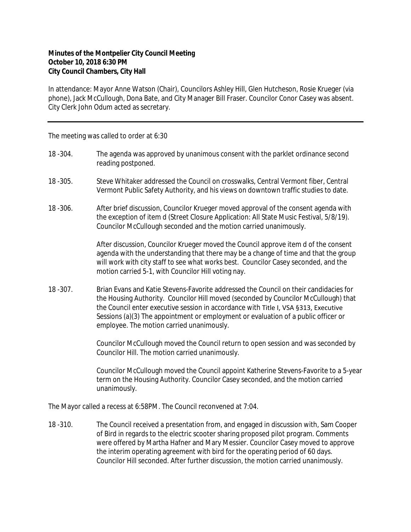## **Minutes of the Montpelier City Council Meeting October 10, 2018 6:30 PM City Council Chambers, City Hall**

In attendance: Mayor Anne Watson (Chair), Councilors Ashley Hill, Glen Hutcheson, Rosie Krueger (via phone), Jack McCullough, Dona Bate, and City Manager Bill Fraser. Councilor Conor Casey was absent. City Clerk John Odum acted as secretary.

The meeting was called to order at 6:30

- 18 -304. The agenda was approved by unanimous consent with the parklet ordinance second reading postponed.
- 18 -305. Steve Whitaker addressed the Council on crosswalks, Central Vermont fiber, Central Vermont Public Safety Authority, and his views on downtown traffic studies to date.
- 18 -306. After brief discussion, Councilor Krueger moved approval of the consent agenda with the exception of item d (Street Closure Application: All State Music Festival, 5/8/19). Councilor McCullough seconded and the motion carried unanimously.

After discussion, Councilor Krueger moved the Council approve item d of the consent agenda with the understanding that there may be a change of time and that the group will work with city staff to see what works best. Councilor Casey seconded, and the motion carried 5-1, with Councilor Hill voting nay.

18 -307. Brian Evans and Katie Stevens-Favorite addressed the Council on their candidacies for the Housing Authority. Councilor Hill moved (seconded by Councilor McCullough) that the Council enter executive session in accordance with Title I, VSA §313, Executive Sessions (a)(3) The appointment or employment or evaluation of a public officer or employee. The motion carried unanimously.

> Councilor McCullough moved the Council return to open session and was seconded by Councilor Hill. The motion carried unanimously.

Councilor McCullough moved the Council appoint Katherine Stevens-Favorite to a 5-year term on the Housing Authority. Councilor Casey seconded, and the motion carried unanimously.

The Mayor called a recess at 6:58PM. The Council reconvened at 7:04.

18 -310. The Council received a presentation from, and engaged in discussion with, Sam Cooper of Bird in regards to the electric scooter sharing proposed pilot program. Comments were offered by Martha Hafner and Mary Messier. Councilor Casey moved to approve the interim operating agreement with bird for the operating period of 60 days. Councilor Hill seconded. After further discussion, the motion carried unanimously.